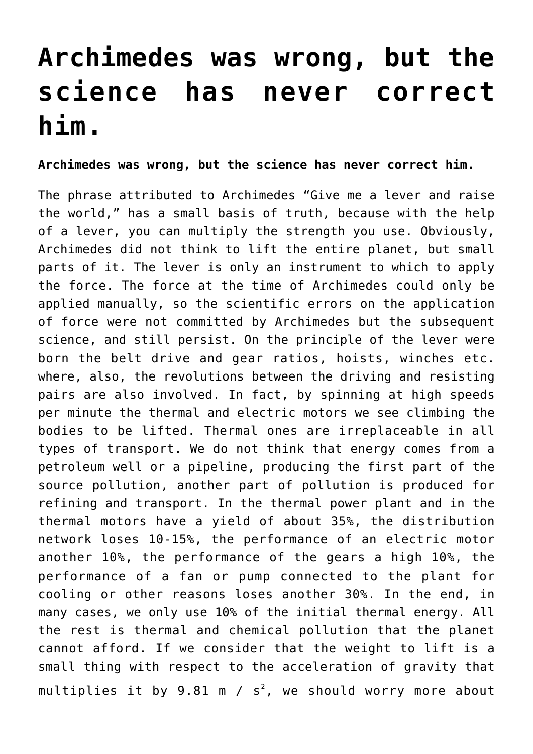## **[Archimedes was wrong, but the](https://www.spawhe.eu/archimedes-was-wrong-but-the-science-has-never-correct-him/) [science has never correct](https://www.spawhe.eu/archimedes-was-wrong-but-the-science-has-never-correct-him/) [him.](https://www.spawhe.eu/archimedes-was-wrong-but-the-science-has-never-correct-him/)**

**Archimedes was wrong, but the science has never correct him.**

The phrase attributed to Archimedes "Give me a lever and raise the world," has a small basis of truth, because with the help of a lever, you can multiply the strength you use. Obviously, Archimedes did not think to lift the entire planet, but small parts of it. The lever is only an instrument to which to apply the force. The force at the time of Archimedes could only be applied manually, so the scientific errors on the application of force were not committed by Archimedes but the subsequent science, and still persist. On the principle of the lever were born the belt drive and gear ratios, hoists, winches etc. where, also, the revolutions between the driving and resisting pairs are also involved. In fact, by spinning at high speeds per minute the thermal and electric motors we see climbing the bodies to be lifted. Thermal ones are irreplaceable in all types of transport. We do not think that energy comes from a petroleum well or a pipeline, producing the first part of the source pollution, another part of pollution is produced for refining and transport. In the thermal power plant and in the thermal motors have a yield of about 35%, the distribution network loses 10-15%, the performance of an electric motor another 10%, the performance of the gears a high 10%, the performance of a fan or pump connected to the plant for cooling or other reasons loses another 30%. In the end, in many cases, we only use 10% of the initial thermal energy. All the rest is thermal and chemical pollution that the planet cannot afford. If we consider that the weight to lift is a small thing with respect to the acceleration of gravity that <code>multiplies</code> it by 9.81 <code>m</code> / <code>s $^{\text{2}}$ , we should worry more about</code>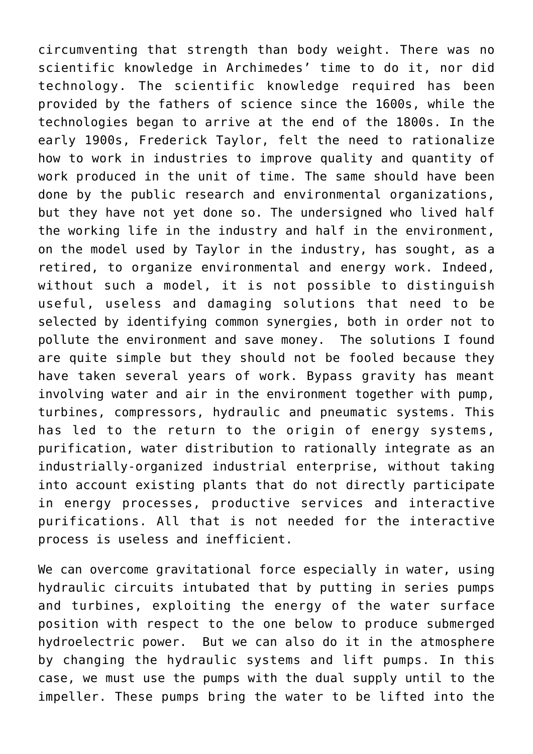circumventing that strength than body weight. There was no scientific knowledge in Archimedes' time to do it, nor did technology. The scientific knowledge required has been provided by the fathers of science since the 1600s, while the technologies began to arrive at the end of the 1800s. In the early 1900s, Frederick Taylor, felt the need to rationalize how to work in industries to improve quality and quantity of work produced in the unit of time. The same should have been done by the public research and environmental organizations, but they have not yet done so. The undersigned who lived half the working life in the industry and half in the environment, on the model used by Taylor in the industry, has sought, as a retired, to organize environmental and energy work. Indeed, without such a model, it is not possible to distinguish useful, useless and damaging solutions that need to be selected by identifying common synergies, both in order not to pollute the environment and save money. The solutions I found are quite simple but they should not be fooled because they have taken several years of work. Bypass gravity has meant involving water and air in the environment together with pump, turbines, compressors, hydraulic and pneumatic systems. This has led to the return to the origin of energy systems, purification, water distribution to rationally integrate as an industrially-organized industrial enterprise, without taking into account existing plants that do not directly participate in energy processes, productive services and interactive purifications. All that is not needed for the interactive process is useless and inefficient.

We can overcome gravitational force especially in water, using hydraulic circuits intubated that by putting in series pumps and turbines, exploiting the energy of the water surface position with respect to the one below to produce submerged hydroelectric power. But we can also do it in the atmosphere by changing the hydraulic systems and lift pumps. In this case, we must use the pumps with the dual supply until to the impeller. These pumps bring the water to be lifted into the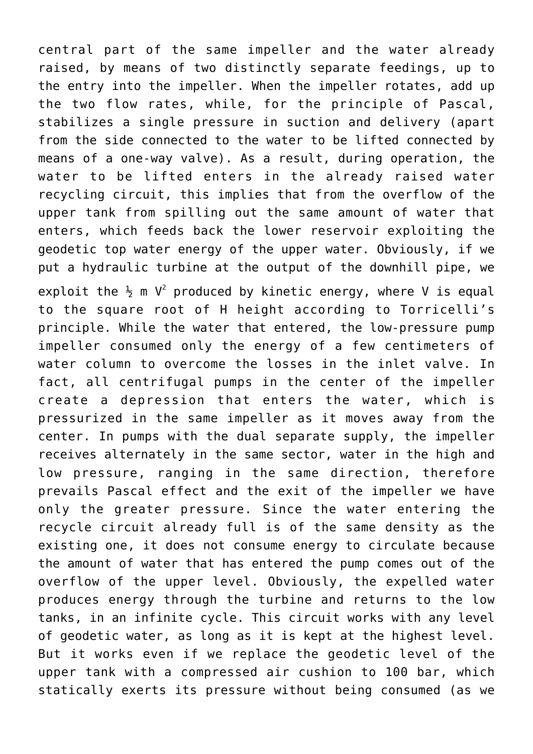central part of the same impeller and the water already raised, by means of two distinctly separate feedings, up to the entry into the impeller. When the impeller rotates, add up the two flow rates, while, for the principle of Pascal, stabilizes a single pressure in suction and delivery (apart from the side connected to the water to be lifted connected by means of a one-way valve). As a result, during operation, the water to be lifted enters in the already raised water recycling circuit, this implies that from the overflow of the upper tank from spilling out the same amount of water that enters, which feeds back the lower reservoir exploiting the geodetic top water energy of the upper water. Obviously, if we put a hydraulic turbine at the output of the downhill pipe, we exploit the  $\frac{1}{2}$  m V<sup>2</sup> produced by kinetic energy, where V is equal to the square root of H height according to Torricelli's principle. While the water that entered, the low-pressure pump impeller consumed only the energy of a few centimeters of water column to overcome the losses in the inlet valve. In fact, all centrifugal pumps in the center of the impeller create a depression that enters the water, which is pressurized in the same impeller as it moves away from the center. In pumps with the dual separate supply, the impeller receives alternately in the same sector, water in the high and low pressure, ranging in the same direction, therefore prevails Pascal effect and the exit of the impeller we have only the greater pressure. Since the water entering the recycle circuit already full is of the same density as the existing one, it does not consume energy to circulate because the amount of water that has entered the pump comes out of the overflow of the upper level. Obviously, the expelled water produces energy through the turbine and returns to the low tanks, in an infinite cycle. This circuit works with any level of geodetic water, as long as it is kept at the highest level. But it works even if we replace the geodetic level of the upper tank with a compressed air cushion to 100 bar, which statically exerts its pressure without being consumed (as we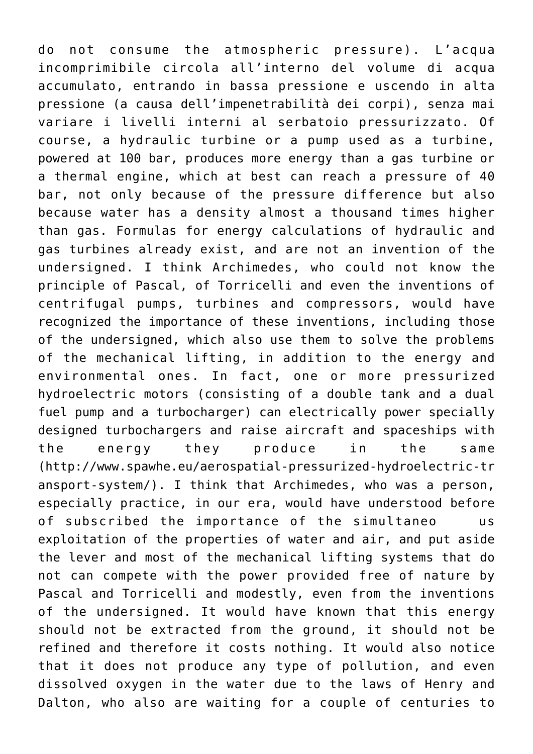do not consume the atmospheric pressure). L'acqua incomprimibile circola all'interno del volume di acqua accumulato, entrando in bassa pressione e uscendo in alta pressione (a causa dell'impenetrabilità dei corpi), senza mai variare i livelli interni al serbatoio pressurizzato. Of course, a hydraulic turbine or a pump used as a turbine, powered at 100 bar, produces more energy than a gas turbine or a thermal engine, which at best can reach a pressure of 40 bar, not only because of the pressure difference but also because water has a density almost a thousand times higher than gas. Formulas for energy calculations of hydraulic and gas turbines already exist, and are not an invention of the undersigned. I think Archimedes, who could not know the principle of Pascal, of Torricelli and even the inventions of centrifugal pumps, turbines and compressors, would have recognized the importance of these inventions, including those of the undersigned, which also use them to solve the problems of the mechanical lifting, in addition to the energy and environmental ones. In fact, one or more pressurized hydroelectric motors (consisting of a double tank and a dual fuel pump and a turbocharger) can electrically power specially designed turbochargers and raise aircraft and spaceships with the energy they produce in the same (http://www.spawhe.eu/aerospatial-pressurized-hydroelectric-tr ansport-system/). I think that Archimedes, who was a person, especially practice, in our era, would have understood before of subscribed the importance of the simultaneo us exploitation of the properties of water and air, and put aside the lever and most of the mechanical lifting systems that do not can compete with the power provided free of nature by Pascal and Torricelli and modestly, even from the inventions of the undersigned. It would have known that this energy should not be extracted from the ground, it should not be refined and therefore it costs nothing. It would also notice that it does not produce any type of pollution, and even dissolved oxygen in the water due to the laws of Henry and Dalton, who also are waiting for a couple of centuries to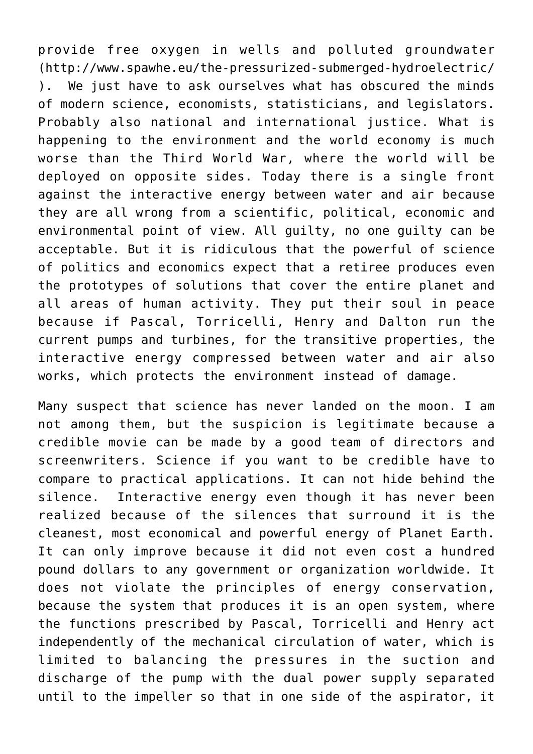provide free oxygen in wells and polluted groundwater (http://www.spawhe.eu/the-pressurized-submerged-hydroelectric/ ). We just have to ask ourselves what has obscured the minds of modern science, economists, statisticians, and legislators. Probably also national and international justice. What is happening to the environment and the world economy is much worse than the Third World War, where the world will be deployed on opposite sides. Today there is a single front against the interactive energy between water and air because they are all wrong from a scientific, political, economic and environmental point of view. All guilty, no one guilty can be acceptable. But it is ridiculous that the powerful of science of politics and economics expect that a retiree produces even the prototypes of solutions that cover the entire planet and all areas of human activity. They put their soul in peace because if Pascal, Torricelli, Henry and Dalton run the current pumps and turbines, for the transitive properties, the interactive energy compressed between water and air also works, which protects the environment instead of damage.

Many suspect that science has never landed on the moon. I am not among them, but the suspicion is legitimate because a credible movie can be made by a good team of directors and screenwriters. Science if you want to be credible have to compare to practical applications. It can not hide behind the silence. Interactive energy even though it has never been realized because of the silences that surround it is the cleanest, most economical and powerful energy of Planet Earth. It can only improve because it did not even cost a hundred pound dollars to any government or organization worldwide. It does not violate the principles of energy conservation, because the system that produces it is an open system, where the functions prescribed by Pascal, Torricelli and Henry act independently of the mechanical circulation of water, which is limited to balancing the pressures in the suction and discharge of the pump with the dual power supply separated until to the impeller so that in one side of the aspirator, it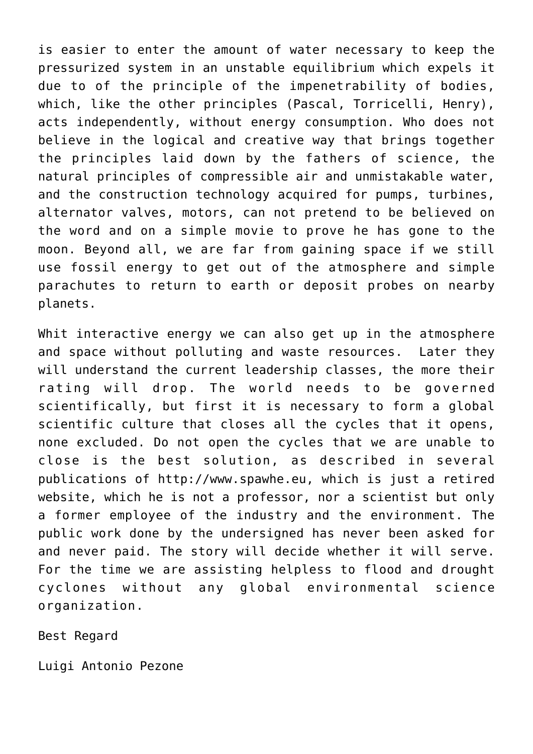is easier to enter the amount of water necessary to keep the pressurized system in an unstable equilibrium which expels it due to of the principle of the impenetrability of bodies, which, like the other principles (Pascal, Torricelli, Henry), acts independently, without energy consumption. Who does not believe in the logical and creative way that brings together the principles laid down by the fathers of science, the natural principles of compressible air and unmistakable water, and the construction technology acquired for pumps, turbines, alternator valves, motors, can not pretend to be believed on the word and on a simple movie to prove he has gone to the moon. Beyond all, we are far from gaining space if we still use fossil energy to get out of the atmosphere and simple parachutes to return to earth or deposit probes on nearby planets.

Whit interactive energy we can also get up in the atmosphere and space without polluting and waste resources. Later they will understand the current leadership classes, the more their rating will drop. The world needs to be governed scientifically, but first it is necessary to form a global scientific culture that closes all the cycles that it opens, none excluded. Do not open the cycles that we are unable to close is the best solution, as described in several publications of http://www.spawhe.eu, which is just a retired website, which he is not a professor, nor a scientist but only a former employee of the industry and the environment. The public work done by the undersigned has never been asked for and never paid. The story will decide whether it will serve. For the time we are assisting helpless to flood and drought cyclones without any global environmental science organization.

Best Regard

Luigi Antonio Pezone